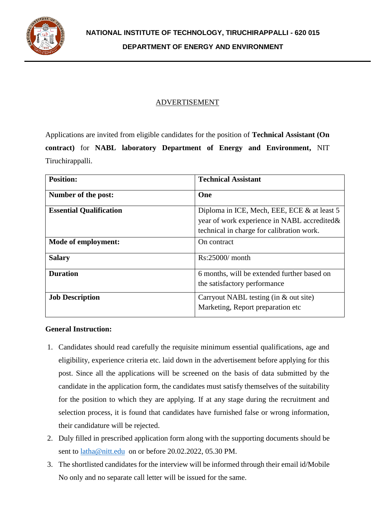

### ADVERTISEMENT

Applications are invited from eligible candidates for the position of **Technical Assistant (On contract)** for **NABL laboratory Department of Energy and Environment,** NIT Tiruchirappalli.

| <b>Position:</b>               | <b>Technical Assistant</b>                                                                                                               |
|--------------------------------|------------------------------------------------------------------------------------------------------------------------------------------|
| Number of the post:            | One                                                                                                                                      |
| <b>Essential Qualification</b> | Diploma in ICE, Mech, EEE, ECE & at least 5<br>year of work experience in NABL accredited &<br>technical in charge for calibration work. |
| Mode of employment:            | On contract                                                                                                                              |
| <b>Salary</b>                  | $Rs:25000/$ month                                                                                                                        |
| <b>Duration</b>                | 6 months, will be extended further based on<br>the satisfactory performance                                                              |
| <b>Job Description</b>         | Carryout NABL testing (in $\&$ out site)<br>Marketing, Report preparation etc.                                                           |

### **General Instruction:**

- 1. Candidates should read carefully the requisite minimum essential qualifications, age and eligibility, experience criteria etc. laid down in the advertisement before applying for this post. Since all the applications will be screened on the basis of data submitted by the candidate in the application form, the candidates must satisfy themselves of the suitability for the position to which they are applying. If at any stage during the recruitment and selection process, it is found that candidates have furnished false or wrong information, their candidature will be rejected.
- 2. Duly filled in prescribed application form along with the supporting documents should be sent to [latha@nitt.edu](mailto:latha@nitt.edu) on or before 20.02.2022, 05.30 PM.
- 3. The shortlisted candidates for the interview will be informed through their email id/Mobile No only and no separate call letter will be issued for the same.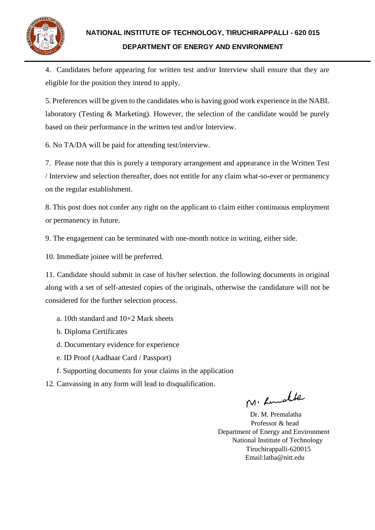

4. Candidates before appearing for written test and/or Interview shall ensure that they are eligible for the position they intend to apply.

5. Preferences will be given to the candidates who is having good work experience in the NABL laboratory (Testing & Marketing). However, the selection of the candidate would be purely based on their performance in the written test and/or Interview.

6. No TA/DA will be paid for attending test/interview.

7. Please note that this is purely a temporary arrangement and appearance in the Written Test / Interview and selection thereafter, does not entitle for any claim what-so-ever or permanency on the regular establishment.

8. This post does not confer any right on the applicant to claim either continuous employment or permanency in future.

9. The engagement can be terminated with one-month notice in writing, either side.

10. Immediate joinee will be preferred.

11. Candidate should submit in case of his/her selection. the following documents in original along with a set of self-attested copies of the originals, otherwise the candidature will not be considered for the further selection process.

- a. 10th standard and 10+2 Mark sheets
- b. Diploma Certificates
- d. Documentary evidence for experience
- e. ID Proof (Aadhaar Card / Passport)
- f. Supporting documents for your claims in the application
- 12. Canvassing in any form will lead to disqualification.

M. Rudble

 Dr. M. Premalatha Professor & head Department of Energy and Environment National Institute of Technology Tiruchirappalli-620015 Email:latha@nitt.edu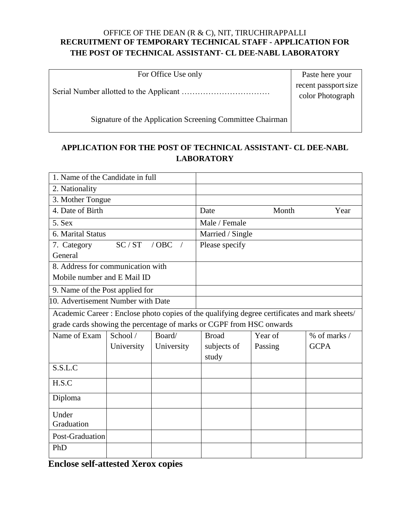## OFFICE OF THE DEAN (R & C), NIT, TIRUCHIRAPPALLI **RECRUITMENT OF TEMPORARY TECHNICAL STAFF - APPLICATION FOR THE POST OF TECHNICAL ASSISTANT- CL DEE-NABL LABORATORY**

| For Office Use only                                       | Paste here your      |
|-----------------------------------------------------------|----------------------|
|                                                           | recent passport size |
|                                                           | color Photograph     |
|                                                           |                      |
| Signature of the Application Screening Committee Chairman |                      |

# **APPLICATION FOR THE POST OF TECHNICAL ASSISTANT- CL DEE-NABL LABORATORY**

| 1. Name of the Candidate in full                                     |            |                  |              |         |                                                                                               |
|----------------------------------------------------------------------|------------|------------------|--------------|---------|-----------------------------------------------------------------------------------------------|
| 2. Nationality                                                       |            |                  |              |         |                                                                                               |
| 3. Mother Tongue                                                     |            |                  |              |         |                                                                                               |
| 4. Date of Birth                                                     |            | Date             | Month        | Year    |                                                                                               |
| 5. Sex                                                               |            | Male / Female    |              |         |                                                                                               |
| 6. Marital Status                                                    |            | Married / Single |              |         |                                                                                               |
| SC/ST<br>$/$ OBC<br>7. Category<br>$\sqrt{2}$                        |            | Please specify   |              |         |                                                                                               |
| General                                                              |            |                  |              |         |                                                                                               |
| 8. Address for communication with                                    |            |                  |              |         |                                                                                               |
| Mobile number and E Mail ID                                          |            |                  |              |         |                                                                                               |
| 9. Name of the Post applied for                                      |            |                  |              |         |                                                                                               |
| 10. Advertisement Number with Date                                   |            |                  |              |         |                                                                                               |
|                                                                      |            |                  |              |         | Academic Career : Enclose photo copies of the qualifying degree certificates and mark sheets/ |
| grade cards showing the percentage of marks or CGPF from HSC onwards |            |                  |              |         |                                                                                               |
| Name of Exam                                                         | School /   | Board/           | <b>Broad</b> | Year of | $%$ of marks $/$                                                                              |
|                                                                      | University | University       | subjects of  | Passing | <b>GCPA</b>                                                                                   |
|                                                                      |            |                  | study        |         |                                                                                               |
| S.S.L.C                                                              |            |                  |              |         |                                                                                               |
| H.S.C                                                                |            |                  |              |         |                                                                                               |
| Diploma                                                              |            |                  |              |         |                                                                                               |
| Under                                                                |            |                  |              |         |                                                                                               |
| Graduation                                                           |            |                  |              |         |                                                                                               |
| Post-Graduation                                                      |            |                  |              |         |                                                                                               |
| PhD                                                                  |            |                  |              |         |                                                                                               |
|                                                                      |            |                  |              |         |                                                                                               |

**Enclose self-attested Xerox copies**